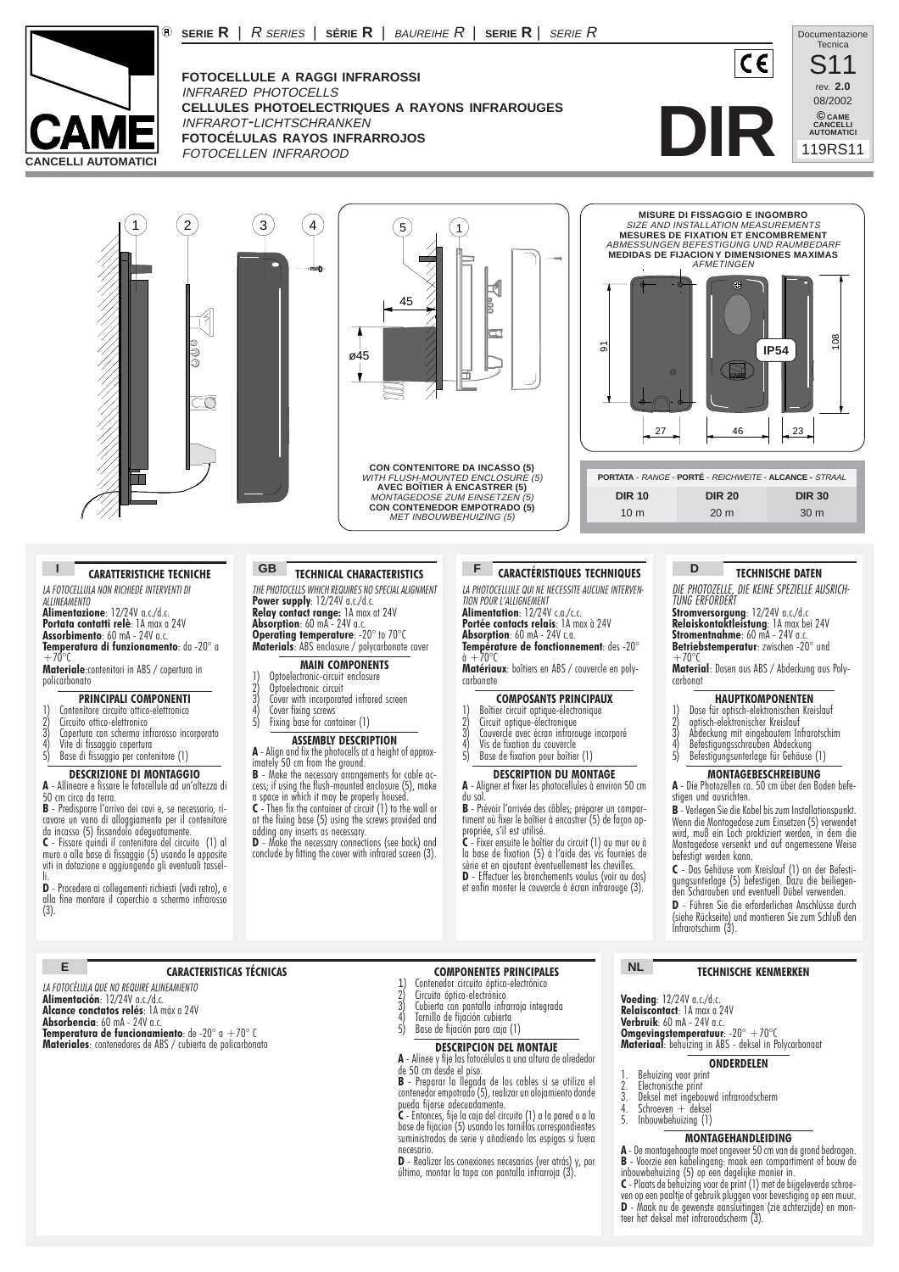

**FOTOCELLULE A RAGGI INFRAROSSI** INFRARED PHOTOCELLS **CELLULES PHOTOELECTRIQUES A RAYONS INFRAROUGES** INFRAROT-LICHTSCHRANKEN **FOTOCÉLULAS RAYOS INFRARROJOS** FOTOCELLEN INFRAROOD

**SERIE R** | R SERIES | **SÉRIE R** | BAUREIHE R | **SERIE R** | SERIE R











#### **CARATTERISTICHE TECNICHE**

*LA FOTOCELLULA NON RICHIEDE INTERVENTI DI ALLINEAMENTO*

**Alimentazione**: 12/24V a.c./d.c. **Portata contatti relè**: 1A max a 24V **Assorbimento**: 60 mA - 24V a.c. **Temperatura di funzionamento**: da -20° a

 $+70^{\circ}$ r **Materiale**:contenitori in ABS / copertura in policarbonato

# **PRINCIPALI COMPONENTI**

- 
- 1) Contenitore circuito ottico-elettronico 2) Circuito ottico-elettronico
- 3) Contenitore circuito offico-elettronico<br>3) Circuito offico-elettronico<br>4) Vopertura con schermo infrarosso incorporato<br>4) Vite di fissaggio copertura<br>5) Base di fissaggio per contenitore (1)
- Vite di fissaggio copertura

5) Base di fissaggio per contenitore (1)

# **DESCRIZIONE DI MONTAGGIO A** - Allineare e fissare le fotocellule ad un'altezza di 50 cm circa da terra.

**E**

**B** - Predisporre l'arrivo dei cavi e, se necessario, ricavare un vano di alloggiamento per il contenitore da incasso (5) fissandolo adeguatamente.

**C** - Fissare quindi il contenitore del circuito (1) al muro o alla base di fissaggio (5) usando le apposite viti in dotazione e aggiungendo gli eventuali tassel-

li.<br>**D** - Procedere ai collegamenti richiesti (vedi retro), e<br>alla fine montare il coperchio a schermo infrarosso<br>(3).

*LA FOTOCÉLULA QUE NO REQUIRE ALINEAMIENTO* **Alimentación**: 12/24V a.c./d.c. **Alcance conctatos relés**: 1A máx a 24V **Absorbencia**: 60 mA - 24V a.c.

**Temperatura de funcionamiento**: de -20° a +70° C **Materiales**: contenedores de ABS / cubierta de policarbonato

**TECHNICAL CHARACTERISTICS I CARATTERISTICHE TECNICHE GB TECHNICAL CHARACTERISTICS F CARACTÉRISTIQUES TECHNIQUES D TECHNISCHE DATEN** 

> **Operating temperature**: -20° to 70°C **Materials**: ABS enclosure / polycarbonate cover **MAIN COMPONENTS**

**ASSEMBLY DESCRIPTION A** - Align and fix the photocells at a height of approx-

**B** - Make the necessary arrangements for cable access; if using the flush-mounted enclosure (5), make a space in which it may be properly housed. **C** - Then fix the container of circuit (1) to the wall or at the fixing base (5) using the screws provided and adding any inserts as necessary. **D** - Make the necessary connections (see back) and conclude by fitting the cover with infrared screen (3).

1) Optoelectronic-circuit enclosure 2) Optoelectronic circuit 3) Cover with incorporated infrared screen<br>4) Cover fixing screws<br>5) Fixing hase for container (1) 4) Cover fixing screws 5) Fixing base for container (1)

imately 50 cm from the ground.

*THE PHOTOCELLS WHICH REQUIRES NO SPECIAL ALIGNMENT* **Power supply**: 12/24V a.c./d.c. **Relay contact range:** 1A max at 24V<br>**Absorption**: 60 mA - 24V a.c. *LA PHOTOCELLULE QUI NE NECESSITE AUCUNE INTERVEN-TION POUR L'ALLIGNEMENT* **Alimentation**: 12/24V c a /c c.

**Portée contacts relais**: 1A max à 24V

**Absorption**: 60 mA - 24V c.a. **Température de fonctionnement**: des -20° à +70°C

**Matériaux**: boîtiers en ABS / couvercle en poly- carbonate

## **COMPOSANTS PRINCIPAUX**

- 1) Boîtier circuit optique-électronique 2) Circuit optique-électronique
- 3) Boîtier circuit optique-électronique<br>3) Circuit optique-électronique<br>3) Couvercle avec écran infrarouge incorporé<br>4) Vis de fixation du couvercle<br>5) Base de fixation pour boîtier (1)
- Vis de fixation du couvercle
- Base de fixation pour boîtier (1)

#### **DESCRIPTION DU MONTAGE**

**A** - Aligner et fixer les photocellules à environ 50 cm du sol.

**B** - Prévoir l'arrivée des câbles; préparer un compartiment où fixer le boîtier à encastrer (5) de façon appropriée, s'il est utilisé.

**C** - Fixer ensuite le boîtier du circuit (1) au mur ou à la base de fixation (5) à l'aide des vis fournies de sèrie et en ajoutant éventuellement les chevilles.

**D** - Effectuer les branchements voulus (voir au dos) et enfin monter le couvercle à écran infrarouge (3).

# **D**

*DIE PHOTOZELLE, DIE KEINE SPEZIELLE AUSRICH-TUNG ERFORDERT*

**Stromversorgung**: 12/24V a.c./d.c **Relaiskontaktleistung**: 1A max bei 24V **Stromentnahme**: 60 mA - 24V a.c. **Betriebstemperatur**: zwischen -20° und  $+70^{\circ}$ 

**Material**: Dosen aus ABS / Abdeckung aus Poly- carbonat

### **HAUPTKOMPONENTEN**

- 1) Dose für optisch-elektronischen Kreislauf 2) optisch-elektronischer Kreislauf
- 
- 2) optisch-elektronischer Kreislauf<br>3) Abdeckung mit eingebautem Infrarotschim<br>4) Befestigungsschrauben Abdeckung<br>5) Befestigungsunterlage für Gehäuse (1) 4) Befestigungsschrauben Abdeckung 5) Befestigungsunterlage für Gehäuse (1)
- 

# **MONTAGEBESCHREIBUNG**

**A** - Die Photozellen ca. 50 cm über den Boden befestigen und ausrichten.

**B** - Verlegen Sie die Kabel bis zum Installationspunkt. Wenn die Montagedose zum Einsetzen (5) verwendet wird, muß ein Loch praktiziert werden, in dem die Montagedose versenkt und auf angemessene Weise befestigt werden kann.

**C** - Das Gehäuse vom Kreislauf (1) an der Befestigungsunterlage (5) befestigen. Dazu die beiliegen-den Scharauben und eventuell Dübel verwenden.

**D** - Führen Sie die erforderlichen Anschlüsse durch (siehe Rückseite) und montieren Sie zum Schluß den Infrarotschirm (3).

#### **TECHNISCHE KENMERKEN**

*LA FOTOCELLULA NON RICHIEDE INTERVENTI DI ALLINEAMENTO* **Voeding**: 12/24V a.c./d.c. **Relaiscontact**: 1A max a 24V **Verbruik**: 60 mA - 24V a.c.

**Omgevingstemperatuur**: -20° +70°C<br>**Materiaal**: behuizing in ABS - deksel in Polycarbonaat

**ONDERDELEN**

- 
- 1. Behuizing voor print 2. Electronische print
- 3. Deksel met ingebouwd infraroodscherm<br>4. Schroeven + deksel<br>5. Inbouwbehuizing (1)
- $Schreeven + deksel$ Inbouwbehuizing (1)

## **MONTAGEHANDLEIDING**

**A** - De montagehoogte moet ongeveer 50 cm van de grond bedragen. **B** - Voorzie een kabelingang: maak een compartiment of bouw de

inbouwbehuizing (5) op een degelijke manier in. **C** - Plaats de behuizing voor de print (1) met de bijgeleverde schroe-ven op een paaltje of gebruik pluggen voor bevestiging op een muur. **D** - Maak nu de gewenste aansluitingen (zie achterzijde) en mon-teer het deksel met infraroodscherm (3).

# **NL CARACTERISTICAS TÉCNICAS COMPONENTES PRINCIPALES**

- 
- Cubierta con pantalla infrarroja integrada
- -

de 50 cm desde el piso. **B** - Preparar la llegada de los cables si se utiliza el

contenedor empotrado (5), realizar un alojamiento donde

base de fijacion (5) usando los tornillos correspondientes suministrados de serie y añadiendo las espigas si fuera necesario.

último, montar la tapa con pantalla infrarroja (3).

1) Contenedor circuito óptico-electrónico<br>2) Circuito óptico-electrónico<br>3) Cubierto con pantalla infrarroja integr<br>4) Tomillo de filación cubierta<br>5) Base de filación para caja (1)

# 2) Circuito óptico-electrónico

4) Tornillo de fijación cubierta

Base de fijación para caja (1)

## **DESCRIPCION DEL MONTAJE**

**A** - Alinee y fije las fotocélulas a una altura de alrededor

# pueda fijarse adecuadamente. **C** - Entonces, fije la caja del circuito (1) a la pared o a la

**D** - Realizar las conexiones necesarias (ver atrás) y, por